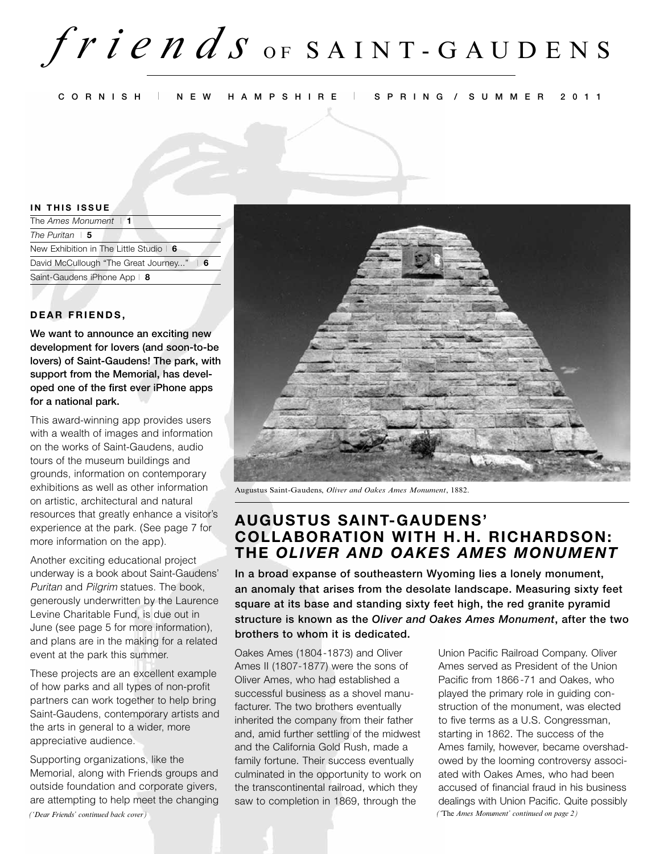**CORNISH** I **NEW HAMPSHIRE** I **SPRING / SUMMER 2011**

#### **IN THIS ISSUE**

| The Ames Monument $\vert$ 1               |
|-------------------------------------------|
| The Puritan $\vert 5$                     |
| New Exhibition in The Little Studio   6   |
| David McCullough "The Great Journey"<br>6 |
| Saint-Gaudens iPhone App   8              |
|                                           |

#### **DEAR FRIENDS,**

**We want to announce an exciting new development for lovers (and soon-to-be lovers) of Saint-Gaudens! The park, with support from the Memorial, has developed one of the first ever iPhone apps for a national park.** 

This award-winning app provides users with a wealth of images and information on the works of Saint-Gaudens, audio tours of the museum buildings and grounds, information on contemporary exhibitions as well as other information on artistic, architectural and natural resources that greatly enhance a visitor's experience at the park. (See page 7 for more information on the app).

Another exciting educational project underway is a book about Saint-Gaudens' Puritan and Pilgrim statues. The book, generously underwritten by the Laurence Levine Charitable Fund, is due out in June (see page 5 for more information), and plans are in the making for a related event at the park this summer.

These projects are an excellent example of how parks and all types of non-profit partners can work together to help bring Saint-Gaudens, contemporary artists and the arts in general to a wider, more appreciative audience.

Supporting organizations, like the Memorial, along with Friends groups and outside foundation and corporate givers, are attempting to help meet the changing *('Dear Friends' continued back cover) ('*The *Ames Monument' continued on page 2)*



Augustus Saint-Gaudens, *Oliver and Oakes Ames Monument*, 1882.

### **AUGUSTUS SAINT-GAUDENS' COLLABORATION WITH H. H. RICHARDSON: THE OLIVER AND OAKES AMES MONUMENT**

**In a broad expanse of southeastern Wyoming lies a lonely monument, an anomaly that arises from the desolate landscape. Measuring sixty feet square at its base and standing sixty feet high, the red granite pyramid structure is known as the Oliver and Oakes Ames Monument, after the two brothers to whom it is dedicated.** 

Oakes Ames (1804-1873) and Oliver Ames II (1807-1877) were the sons of Oliver Ames, who had established a successful business as a shovel manufacturer. The two brothers eventually inherited the company from their father and, amid further settling of the midwest and the California Gold Rush, made a family fortune. Their success eventually culminated in the opportunity to work on the transcontinental railroad, which they saw to completion in 1869, through the

Union Pacific Railroad Company. Oliver Ames served as President of the Union Pacific from 1866-71 and Oakes, who played the primary role in guiding construction of the monument, was elected to five terms as a U.S. Congressman, starting in 1862. The success of the Ames family, however, became overshadowed by the looming controversy associated with Oakes Ames, who had been accused of financial fraud in his business dealings with Union Pacific. Quite possibly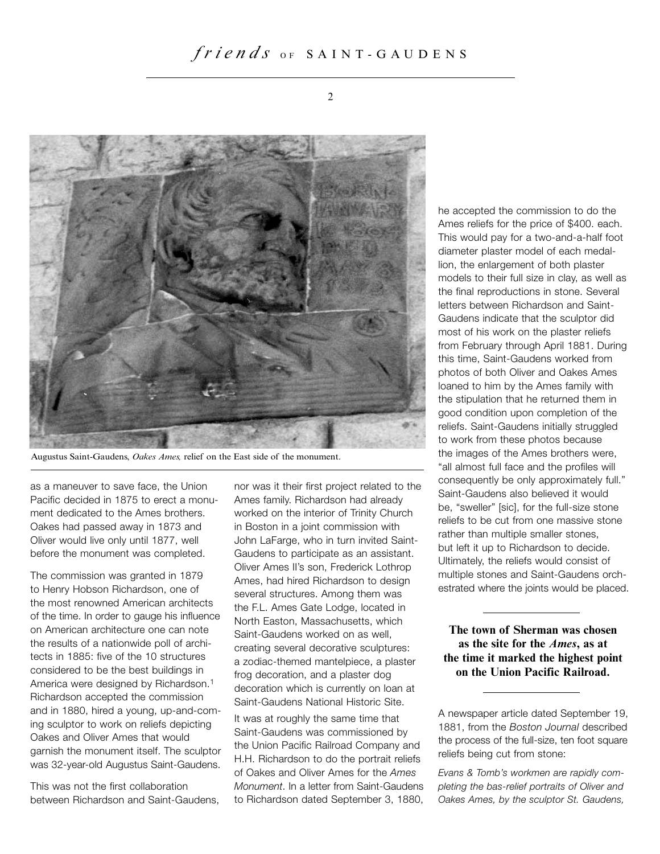

Augustus Saint-Gaudens, *Oakes Ames,* relief on the East side of the monument.

as a maneuver to save face, the Union Pacific decided in 1875 to erect a monument dedicated to the Ames brothers. Oakes had passed away in 1873 and Oliver would live only until 1877, well before the monument was completed.

The commission was granted in 1879 to Henry Hobson Richardson, one of the most renowned American architects of the time. In order to gauge his influence on American architecture one can note the results of a nationwide poll of architects in 1885: five of the 10 structures considered to be the best buildings in America were designed by Richardson.<sup>1</sup> Richardson accepted the commission and in 1880, hired a young, up-and-coming sculptor to work on reliefs depicting Oakes and Oliver Ames that would garnish the monument itself. The sculptor was 32-year-old Augustus Saint-Gaudens.

This was not the first collaboration between Richardson and Saint-Gaudens, nor was it their first project related to the Ames family. Richardson had already worked on the interior of Trinity Church in Boston in a joint commission with John LaFarge, who in turn invited Saint-Gaudens to participate as an assistant. Oliver Ames II's son, Frederick Lothrop Ames, had hired Richardson to design several structures. Among them was the F.L. Ames Gate Lodge, located in North Easton, Massachusetts, which Saint-Gaudens worked on as well, creating several decorative sculptures: a zodiac-themed mantelpiece, a plaster frog decoration, and a plaster dog decoration which is currently on loan at Saint-Gaudens National Historic Site.

It was at roughly the same time that Saint-Gaudens was commissioned by the Union Pacific Railroad Company and H.H. Richardson to do the portrait reliefs of Oakes and Oliver Ames for the Ames Monument. In a letter from Saint-Gaudens to Richardson dated September 3, 1880,

he accepted the commission to do the Ames reliefs for the price of \$400. each. This would pay for a two-and-a-half foot diameter plaster model of each medallion, the enlargement of both plaster models to their full size in clay, as well as the final reproductions in stone. Several letters between Richardson and Saint-Gaudens indicate that the sculptor did most of his work on the plaster reliefs from February through April 1881. During this time, Saint-Gaudens worked from photos of both Oliver and Oakes Ames loaned to him by the Ames family with the stipulation that he returned them in good condition upon completion of the reliefs. Saint-Gaudens initially struggled to work from these photos because the images of the Ames brothers were, "all almost full face and the profiles will consequently be only approximately full." Saint-Gaudens also believed it would be, "sweller" [sic], for the full-size stone reliefs to be cut from one massive stone rather than multiple smaller stones, but left it up to Richardson to decide. Ultimately, the reliefs would consist of multiple stones and Saint-Gaudens orchestrated where the joints would be placed.

**The town of Sherman was chosen as the site for the Ames, as at the time it marked the highest point on the Union Pacific Railroad.**

A newspaper article dated September 19, 1881, from the Boston Journal described the process of the full-size, ten foot square reliefs being cut from stone:

Evans & Tomb's workmen are rapidly completing the bas-relief portraits of Oliver and Oakes Ames, by the sculptor St. Gaudens,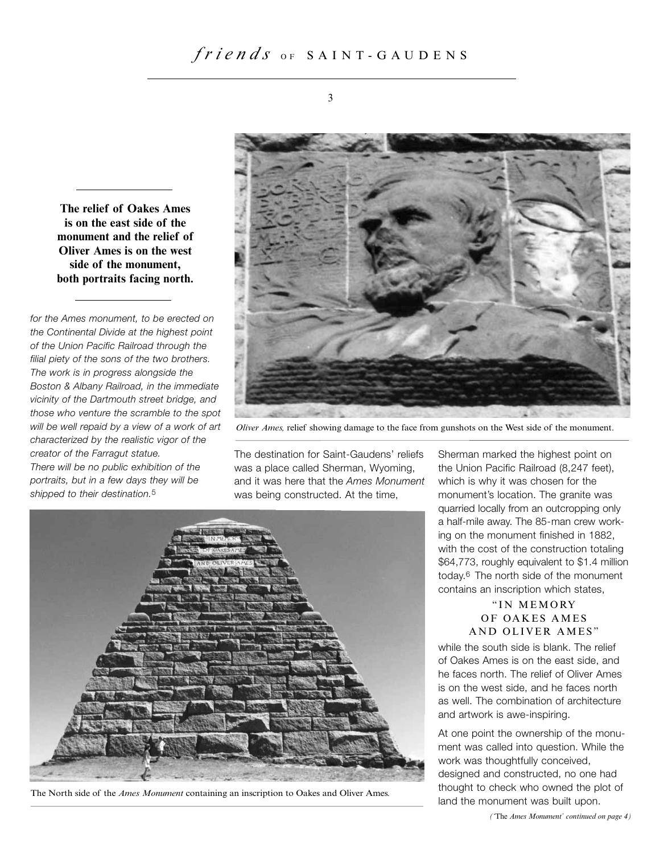**The relief of Oakes Ames is on the east side of the monument and the relief of Oliver Ames is on the west side of the monument, both portraits facing north.**

for the Ames monument, to be erected on the Continental Divide at the highest point of the Union Pacific Railroad through the filial piety of the sons of the two brothers. The work is in progress alongside the Boston & Albany Railroad, in the immediate vicinity of the Dartmouth street bridge, and those who venture the scramble to the spot will be well repaid by a view of a work of art characterized by the realistic vigor of the creator of the Farragut statue.

There will be no public exhibition of the portraits, but in a few days they will be shipped to their destination.<sup>5</sup>



*Oliver Ames,* relief showing damage to the face from gunshots on the West side of the monument.

The destination for Saint-Gaudens' reliefs was a place called Sherman, Wyoming, and it was here that the Ames Monument was being constructed. At the time,



The North side of the *Ames Monument* containing an inscription to Oakes and Oliver Ames.

Sherman marked the highest point on the Union Pacific Railroad (8,247 feet), which is why it was chosen for the monument's location. The granite was quarried locally from an outcropping only a half-mile away. The 85-man crew working on the monument finished in 1882, with the cost of the construction totaling \$64,773, roughly equivalent to \$1.4 million today.6 The north side of the monument contains an inscription which states,

#### " IN MEMORY OF OAKES AMES AND OLIVER AMES"

while the south side is blank. The relief of Oakes Ames is on the east side, and he faces north. The relief of Oliver Ames is on the west side, and he faces north as well. The combination of architecture and artwork is awe-inspiring.

At one point the ownership of the monument was called into question. While the work was thoughtfully conceived, designed and constructed, no one had thought to check who owned the plot of land the monument was built upon.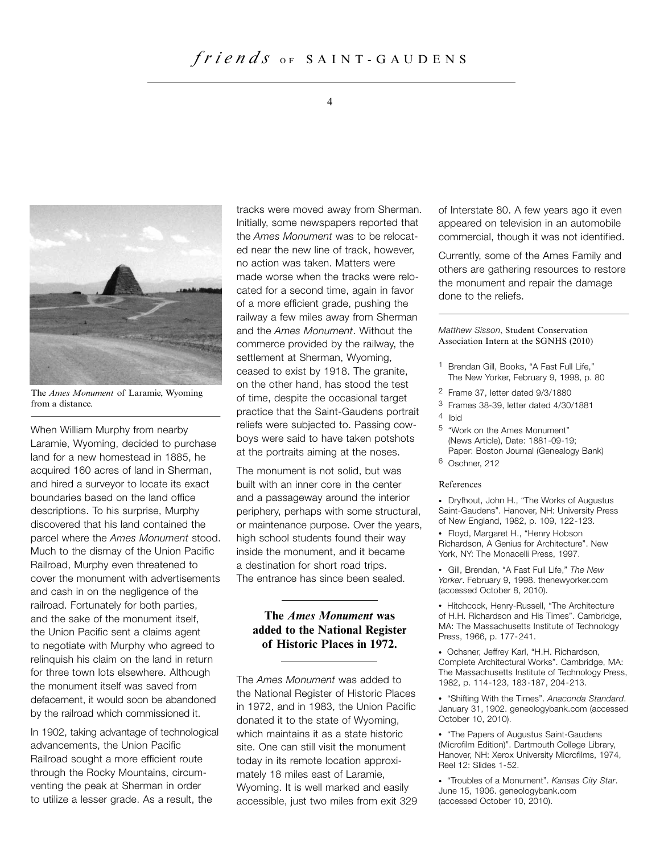#### 4



The *Ames Monument* of Laramie, Wyoming from a distance.

When William Murphy from nearby Laramie, Wyoming, decided to purchase land for a new homestead in 1885, he acquired 160 acres of land in Sherman, and hired a surveyor to locate its exact boundaries based on the land office descriptions. To his surprise, Murphy discovered that his land contained the parcel where the Ames Monument stood. Much to the dismay of the Union Pacific Railroad, Murphy even threatened to cover the monument with advertisements and cash in on the negligence of the railroad. Fortunately for both parties, and the sake of the monument itself, the Union Pacific sent a claims agent to negotiate with Murphy who agreed to relinquish his claim on the land in return for three town lots elsewhere. Although the monument itself was saved from defacement, it would soon be abandoned by the railroad which commissioned it.

In 1902, taking advantage of technological advancements, the Union Pacific Railroad sought a more efficient route through the Rocky Mountains, circumventing the peak at Sherman in order to utilize a lesser grade. As a result, the

tracks were moved away from Sherman. Initially, some newspapers reported that the Ames Monument was to be relocated near the new line of track, however, no action was taken. Matters were made worse when the tracks were relocated for a second time, again in favor of a more efficient grade, pushing the railway a few miles away from Sherman and the Ames Monument. Without the commerce provided by the railway, the settlement at Sherman, Wyoming, ceased to exist by 1918. The granite, on the other hand, has stood the test of time, despite the occasional target practice that the Saint-Gaudens portrait reliefs were subjected to. Passing cowboys were said to have taken potshots at the portraits aiming at the noses.

The monument is not solid, but was built with an inner core in the center and a passageway around the interior periphery, perhaps with some structural, or maintenance purpose. Over the years, high school students found their way inside the monument, and it became a destination for short road trips. The entrance has since been sealed.

#### **The Ames Monument was added to the National Register of Historic Places in 1972.**

The Ames Monument was added to the National Register of Historic Places in 1972, and in 1983, the Union Pacific donated it to the state of Wyoming, which maintains it as a state historic site. One can still visit the monument today in its remote location approximately 18 miles east of Laramie, Wyoming. It is well marked and easily accessible, just two miles from exit 329 of Interstate 80. A few years ago it even appeared on television in an automobile commercial, though it was not identified.

Currently, some of the Ames Family and others are gathering resources to restore the monument and repair the damage done to the reliefs.

Matthew Sisson, Student Conservation Association Intern at the SGNHS (2010)

- 1 Brendan Gill, Books, "A Fast Full Life," The New Yorker, February 9, 1998, p. 80
- 2 Frame 37, letter dated 9/3/1880
- 3 Frames 38-39, letter dated 4/30/1881
- 4 Ibid
- 5 "Work on the Ames Monument" (News Article), Date: 1881-09-19; Paper: Boston Journal (Genealogy Bank)
- 6 Oschner, 212

#### References

• Dryfhout, John H., "The Works of Augustus Saint-Gaudens". Hanover, NH: University Press of New England, 1982, p. 109, 122-123.

• Floyd, Margaret H., "Henry Hobson Richardson, A Genius for Architecture". New York, NY: The Monacelli Press, 1997.

• Gill, Brendan, "A Fast Full Life," The New Yorker. February 9, 1998. thenewyorker.com (accessed October 8, 2010).

• Hitchcock, Henry-Russell, "The Architecture of H.H. Richardson and His Times". Cambridge, MA: The Massachusetts Institute of Technology Press, 1966, p. 177-241.

• Ochsner, Jeffrey Karl, "H.H. Richardson, Complete Architectural Works". Cambridge, MA: The Massachusetts Institute of Technology Press, 1982, p. 114-123, 183-187, 204-213.

• "Shifting With the Times". Anaconda Standard. January 31, 1902. geneologybank.com (accessed October 10, 2010).

• "The Papers of Augustus Saint-Gaudens (Microfilm Edition)". Dartmouth College Library, Hanover, NH: Xerox University Microfilms, 1974, Reel 12: Slides 1-52.

• "Troubles of a Monument". Kansas City Star. June 15, 1906. geneologybank.com (accessed October 10, 2010).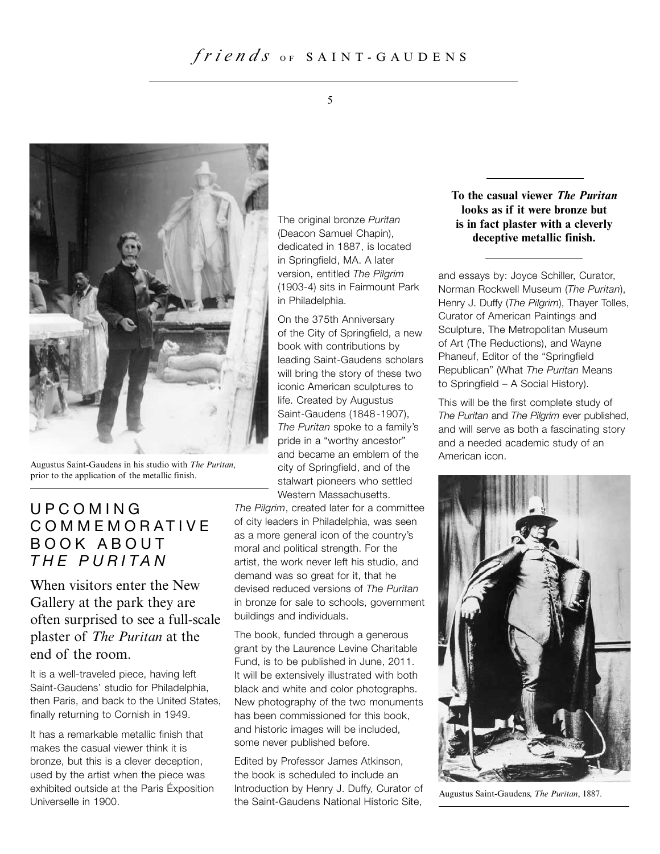

Augustus Saint-Gaudens in his studio with *The Puritan*, prior to the application of the metallic finish.

## UPCOMING COMMEMORATIVE BOOK ABOUT THE PURITAN

When visitors enter the New Gallery at the park they are often surprised to see a full-scale plaster of *The Puritan* at the end of the room.

It is a well-traveled piece, having left Saint-Gaudens' studio for Philadelphia, then Paris, and back to the United States, finally returning to Cornish in 1949.

It has a remarkable metallic finish that makes the casual viewer think it is bronze, but this is a clever deception, used by the artist when the piece was exhibited outside at the Paris Éxposition Universelle in 1900.

The original bronze Puritan (Deacon Samuel Chapin), dedicated in 1887, is located in Springfield, MA. A later version, entitled The Pilgrim (1903-4) sits in Fairmount Park in Philadelphia.

On the 375th Anniversary of the City of Springfield, a new book with contributions by leading Saint-Gaudens scholars will bring the story of these two iconic American sculptures to life. Created by Augustus Saint-Gaudens (1848-1907), The Puritan spoke to a family's pride in a "worthy ancestor" and became an emblem of the city of Springfield, and of the stalwart pioneers who settled Western Massachusetts.

The Pilgrim, created later for a committee of city leaders in Philadelphia, was seen as a more general icon of the country's moral and political strength. For the artist, the work never left his studio, and demand was so great for it, that he devised reduced versions of The Puritan in bronze for sale to schools, government buildings and individuals.

The book, funded through a generous grant by the Laurence Levine Charitable Fund, is to be published in June, 2011. It will be extensively illustrated with both black and white and color photographs. New photography of the two monuments has been commissioned for this book, and historic images will be included, some never published before.

Edited by Professor James Atkinson, the book is scheduled to include an Introduction by Henry J. Duffy, Curator of the Saint-Gaudens National Historic Site,

#### **To the casual viewer The Puritan looks as if it were bronze but is in fact plaster with a cleverly deceptive metallic finish.**

and essays by: Joyce Schiller, Curator, Norman Rockwell Museum (The Puritan), Henry J. Duffy (The Pilgrim), Thayer Tolles, Curator of American Paintings and Sculpture, The Metropolitan Museum of Art (The Reductions), and Wayne Phaneuf, Editor of the "Springfield Republican" (What The Puritan Means to Springfield – A Social History).

This will be the first complete study of The Puritan and The Pilgrim ever published, and will serve as both a fascinating story and a needed academic study of an American icon.



Augustus Saint-Gaudens, *The Puritan*, 1887.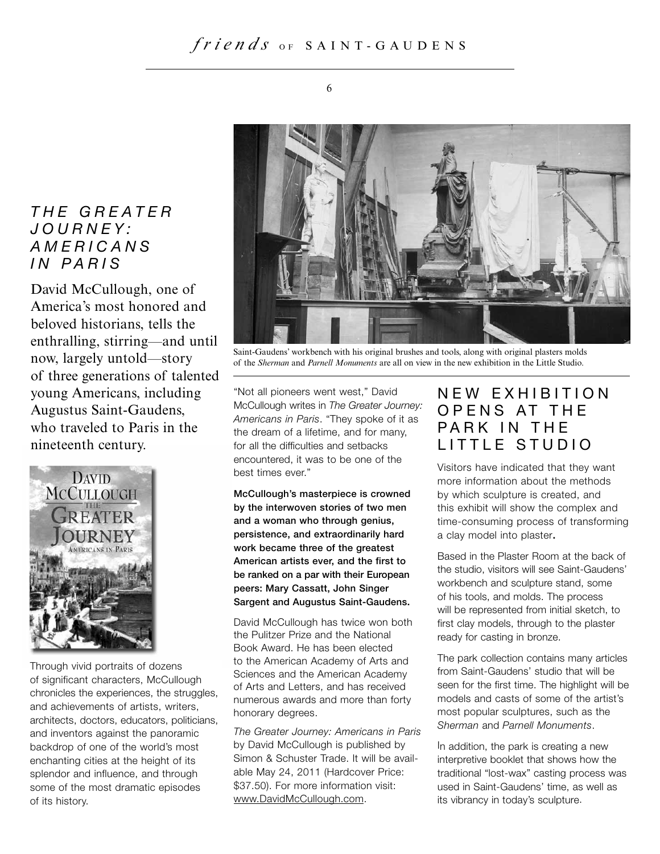## THE GREATER JOURNEY: AMERICANS IN PARIS

David McCullough, one of America's most honored and beloved historians, tells the enthralling, stirring—and until now, largely untold—story of three generations of talented young Americans, including Augustus Saint-Gaudens, who traveled to Paris in the nineteenth century.



Through vivid portraits of dozens of significant characters, McCullough chronicles the experiences, the struggles, and achievements of artists, writers, architects, doctors, educators, politicians, and inventors against the panoramic backdrop of one of the world's most enchanting cities at the height of its splendor and influence, and through some of the most dramatic episodes of its history.



Saint-Gaudens' workbench with his original brushes and tools, along with original plasters molds of the *Sherman* and *Parnell Monuments* are all on view in the new exhibition in the Little Studio.

"Not all pioneers went west," David McCullough writes in The Greater Journey: Americans in Paris. "They spoke of it as the dream of a lifetime, and for many, for all the difficulties and setbacks encountered, it was to be one of the best times ever."

**McCullough's masterpiece is crowned by the interwoven stories of two men and a woman who through genius, persistence, and extraordinarily hard work became three of the greatest American artists ever, and the first to be ranked on a par with their European peers: Mary Cassatt, John Singer Sargent and Augustus Saint-Gaudens.**

David McCullough has twice won both the Pulitzer Prize and the National Book Award. He has been elected to the American Academy of Arts and Sciences and the American Academy of Arts and Letters, and has received numerous awards and more than forty honorary degrees.

The Greater Journey: Americans in Paris by David McCullough is published by Simon & Schuster Trade. It will be available May 24, 2011 (Hardcover Price: \$37.50). For more information visit: www.DavidMcCullough.com.

## NEW EXHIBITION OPENS AT THE PARK IN THE LITTLE STUDIO

Visitors have indicated that they want more information about the methods by which sculpture is created, and this exhibit will show the complex and time-consuming process of transforming a clay model into plaster**.**

Based in the Plaster Room at the back of the studio, visitors will see Saint-Gaudens' workbench and sculpture stand, some of his tools, and molds. The process will be represented from initial sketch, to first clay models, through to the plaster ready for casting in bronze.

The park collection contains many articles from Saint-Gaudens' studio that will be seen for the first time. The highlight will be models and casts of some of the artist's most popular sculptures, such as the Sherman and Parnell Monuments.

In addition, the park is creating a new interpretive booklet that shows how the traditional "lost-wax" casting process was used in Saint-Gaudens' time, as well as its vibrancy in today's sculpture.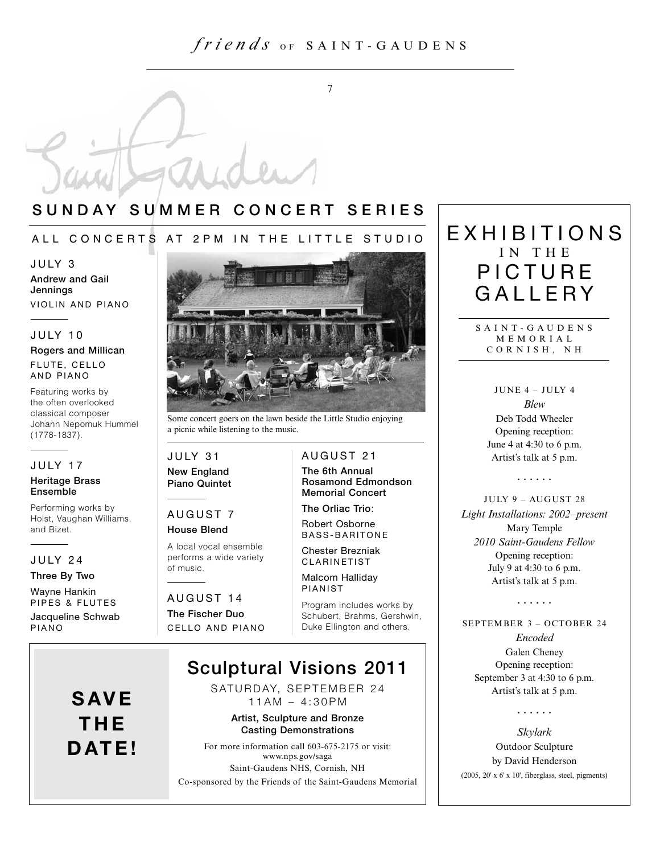7

## **SUNDAY SUMMER CONCERT SERIES**

#### ALL CONCERTS AT 2PM IN THE LITTLE STUDIO

JULY 3

**Andrew and Gail Jennings** VIOLIN AND PIANO

#### JULY 10

#### **Rogers and Millican** FLUTE, CELLO AND PIANO

Featuring works by the often overlooked classical composer Johann Nepomuk Hummel (1778-1837).

#### JULY 17

#### **Heritage Brass Ensemble**

Performing works by Holst, Vaughan Williams, and Bizet.

#### JULY 24

#### **Three By Two**

Wayne Hankin PIPES & FLUTES Jacqueline Schwab PIANO



Some concert goers on the lawn beside the Little Studio enjoying a picnic while listening to the music.

#### JULY 31 **New England Piano Quintet**

## AUGUST 7

**House Blend** A local vocal ensemble performs a wide variety of music.

AUGUST 14 **The Fischer Duo** CELLO AND PIANO **The 6th Annual Rosamond Edmondson** 

**The Orliac Trio**: Robert Osborne BASS-BARITONE

**Memorial Concert**

AUGUST 21

Chester Brezniak CLARINETIST

Malcom Halliday PIANIST

Program includes works by Schubert, Brahms, Gershwin, Duke Ellington and others.

## **Sculptural Visions 2011**

SATURDAY, SEPTEMBER 24 11AM – 4:30PM

#### **Artist, Sculpture and Bronze Casting Demonstrations**

For more information call 603-675-2175 or visit: www.nps.gov/saga Saint-Gaudens NHS, Cornish, NH

Co-sponsored by the Friends of the Saint-Gaudens Memorial

## EXHIBITIONS IN THE PICTURE GALL FRY

SAINT-GAUDENS MEMORIAL CORNISH, NH

> JUNE 4 – JULY 4 *Blew* Deb Todd Wheeler Opening reception: June 4 at 4:30 to 6 p.m. Artist's talk at 5 p.m.

> > **. . . . . .**

#### JULY 9 – AUGUST 28

*Light Installations: 2002–present* Mary Temple *2010 Saint-Gaudens Fellow* Opening reception: July 9 at 4:30 to 6 p.m. Artist's talk at 5 p.m.

**. . . . . .**

SEPTEMBER 3 – OCTOBER 24

*Encoded* Galen Cheney Opening reception: September 3 at 4:30 to 6 p.m. Artist's talk at 5 p.m.

**. . . . . .**

*Skylark* Outdoor Sculpture by David Henderson  $(2005, 20' \times 6' \times 10'$ , fiberglass, steel, pigments)

## **SAVE THE DATE!**